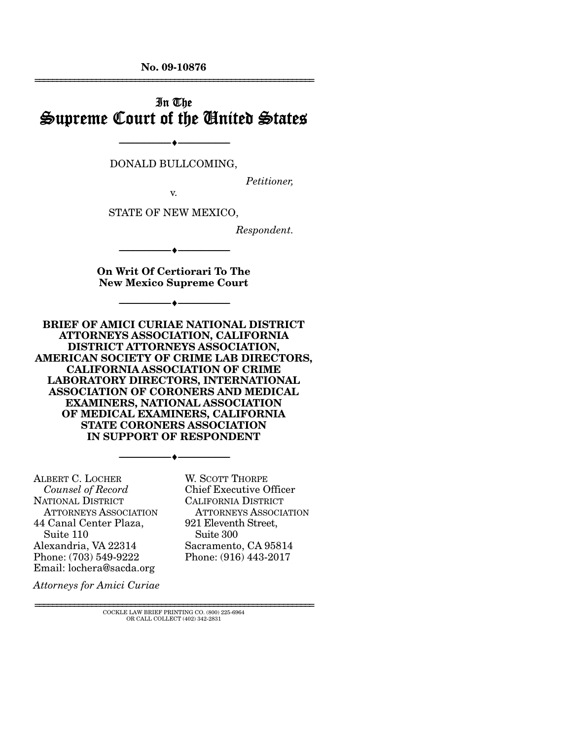**No. 09-10876**  ================================================================

## In The Supreme Court of the United States

DONALD BULLCOMING,

v.

--------------------------------- ♦ ---------------------------------

*Petitioner,* 

STATE OF NEW MEXICO,

*Respondent.* 

**On Writ Of Certiorari To The New Mexico Supreme Court** 

--------------------------------- ♦ ---------------------------------

--------------------------------- ♦ ---------------------------------

**BRIEF OF AMICI CURIAE NATIONAL DISTRICT ATTORNEYS ASSOCIATION, CALIFORNIA DISTRICT ATTORNEYS ASSOCIATION, AMERICAN SOCIETY OF CRIME LAB DIRECTORS, CALIFORNIA ASSOCIATION OF CRIME LABORATORY DIRECTORS, INTERNATIONAL ASSOCIATION OF CORONERS AND MEDICAL EXAMINERS, NATIONAL ASSOCIATION OF MEDICAL EXAMINERS, CALIFORNIA STATE CORONERS ASSOCIATION IN SUPPORT OF RESPONDENT** 

--------------------------------- ♦ ---------------------------------

ALBERT C. LOCHER  *Counsel of Record* NATIONAL DISTRICT ATTORNEYS ASSOCIATION 44 Canal Center Plaza, Suite 110 Alexandria, VA 22314 Phone: (703) 549-9222 Email: lochera@sacda.org

W. SCOTT THORPE Chief Executive Officer CALIFORNIA DISTRICT ATTORNEYS ASSOCIATION 921 Eleventh Street, Suite 300 Sacramento, CA 95814 Phone: (916) 443-2017

*Attorneys for Amici Curiae* 

================================================================ COCKLE LAW BRIEF PRINTING CO. (800) 225-6964 OR CALL COLLECT (402) 342-2831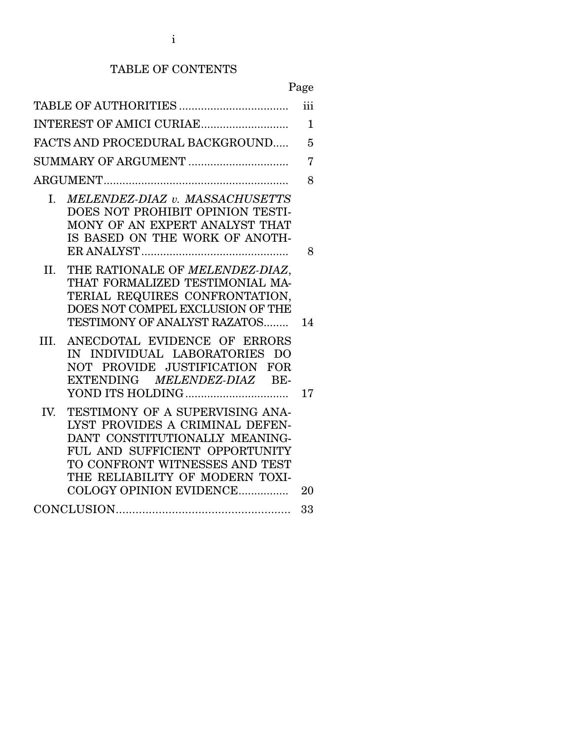### TABLE OF CONTENTS

|--|

|                                                                                                                                                                                                                                               | iii            |
|-----------------------------------------------------------------------------------------------------------------------------------------------------------------------------------------------------------------------------------------------|----------------|
| INTEREST OF AMICI CURIAE                                                                                                                                                                                                                      | $\mathbf{1}$   |
| FACTS AND PROCEDURAL BACKGROUND                                                                                                                                                                                                               | 5              |
| SUMMARY OF ARGUMENT                                                                                                                                                                                                                           | $\overline{7}$ |
|                                                                                                                                                                                                                                               | 8              |
| MELENDEZ-DIAZ v. MASSACHUSETTS<br>I.<br>DOES NOT PROHIBIT OPINION TESTI-<br>MONY OF AN EXPERT ANALYST THAT<br>IS BASED ON THE WORK OF ANOTH-                                                                                                  | 8              |
| THE RATIONALE OF MELENDEZ-DIAZ,<br>II.<br>THAT FORMALIZED TESTIMONIAL MA-<br>TERIAL REQUIRES CONFRONTATION,<br>DOES NOT COMPEL EXCLUSION OF THE<br>TESTIMONY OF ANALYST RAZATOS                                                               | 14             |
| ANECDOTAL EVIDENCE OF ERRORS<br>III.<br>IN INDIVIDUAL LABORATORIES DO<br>NOT PROVIDE JUSTIFICATION FOR<br>EXTENDING MELENDEZ-DIAZ BE-                                                                                                         | 17             |
| TESTIMONY OF A SUPERVISING ANA-<br>IV.<br>LYST PROVIDES A CRIMINAL DEFEN-<br>DANT CONSTITUTIONALLY MEANING-<br>FUL AND SUFFICIENT OPPORTUNITY<br>TO CONFRONT WITNESSES AND TEST<br>THE RELIABILITY OF MODERN TOXI-<br>COLOGY OPINION EVIDENCE | 20             |
|                                                                                                                                                                                                                                               | 33             |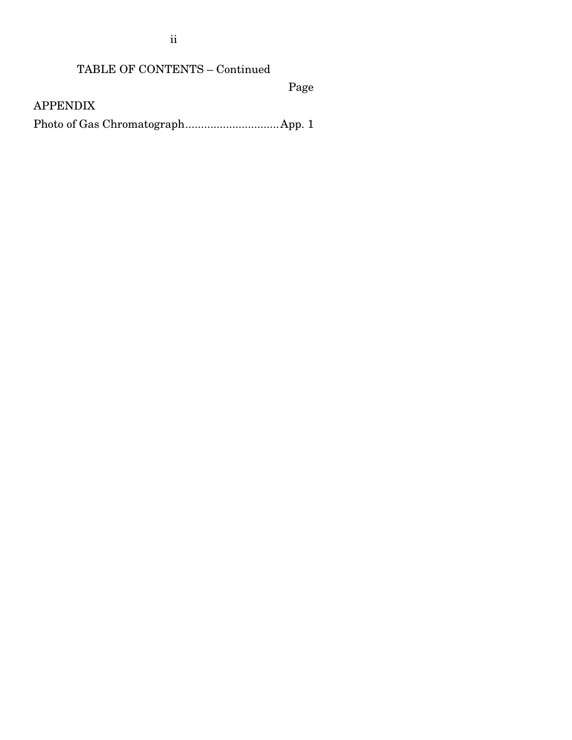ii

# TABLE OF CONTENTS – Continued

Page

APPENDIX

Photo of Gas Chromatograph .............................. App. 1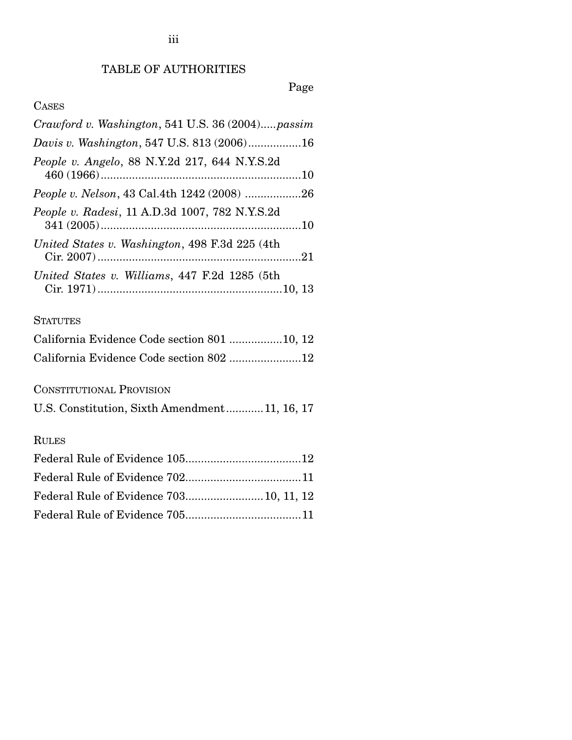### TABLE OF AUTHORITIES

### Page

### CASES

| Crawford v. Washington, 541 U.S. 36 (2004)passim |
|--------------------------------------------------|
| Davis v. Washington, 547 U.S. 813 (2006)16       |
| People v. Angelo, 88 N.Y.2d 217, 644 N.Y.S.2d    |
| People v. Nelson, 43 Cal.4th 1242 (2008) 26      |
| People v. Radesi, 11 A.D.3d 1007, 782 N.Y.S.2d   |
| United States v. Washington, 498 F.3d 225 (4th)  |
| United States v. Williams, 447 F.2d 1285 (5th    |

### **STATUTES**

| California Evidence Code section 801 10, 12 |  |  |
|---------------------------------------------|--|--|
| California Evidence Code section 802 12     |  |  |

CONSTITUTIONAL PROVISION

U.S. Constitution, Sixth Amendment ............ 11, 16, 17

## RULES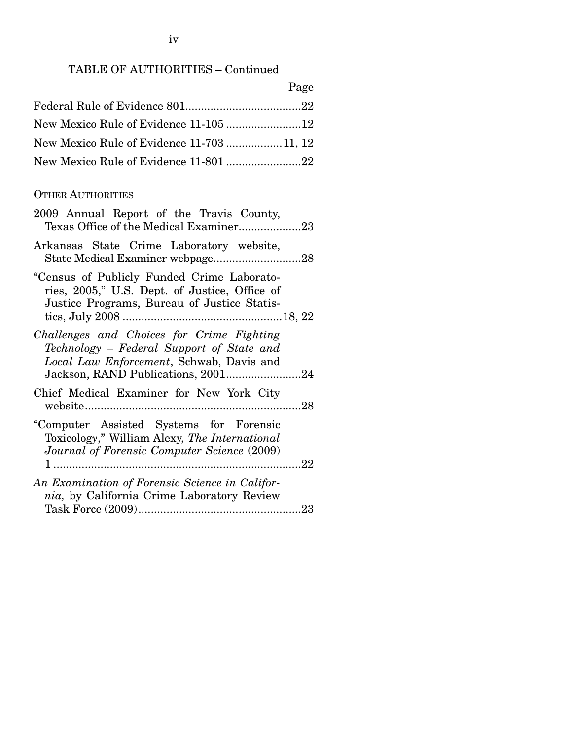| × |
|---|
|---|

| New Mexico Rule of Evidence 11-703 11, 12 |  |
|-------------------------------------------|--|
|                                           |  |

### OTHER AUTHORITIES

| 2009 Annual Report of the Travis County,<br>Texas Office of the Medical Examiner23                                                         |  |
|--------------------------------------------------------------------------------------------------------------------------------------------|--|
| Arkansas State Crime Laboratory website,<br>State Medical Examiner webpage28                                                               |  |
| "Census of Publicly Funded Crime Laborato-<br>ries, 2005," U.S. Dept. of Justice, Office of<br>Justice Programs, Bureau of Justice Statis- |  |
| Challenges and Choices for Crime Fighting<br>Technology – Federal Support of State and<br>Local Law Enforcement, Schwab, Davis and         |  |
| Chief Medical Examiner for New York City                                                                                                   |  |
| "Computer Assisted Systems for Forensic<br>Toxicology," William Alexy, The International<br>Journal of Forensic Computer Science (2009)    |  |
| An Examination of Forensic Science in Califor-<br>nia, by California Crime Laboratory Review                                               |  |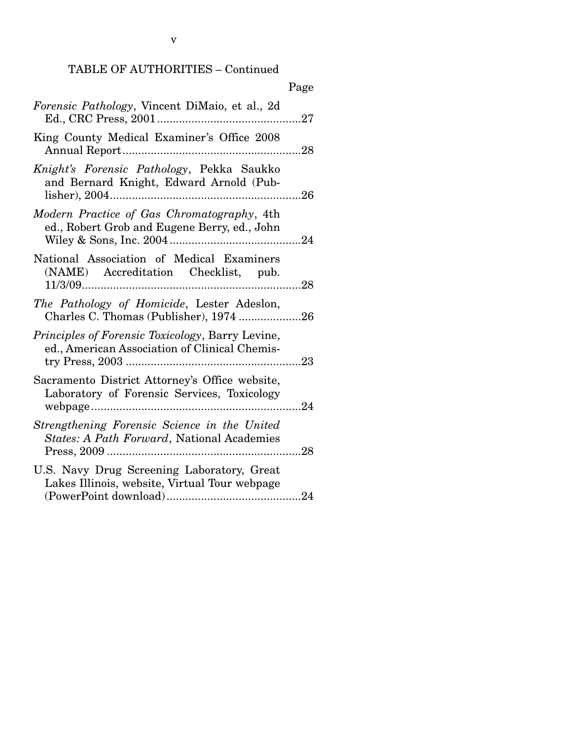|                                                                                                           | Page |
|-----------------------------------------------------------------------------------------------------------|------|
| Forensic Pathology, Vincent DiMaio, et al., 2d                                                            | 27   |
| King County Medical Examiner's Office 2008                                                                | 28   |
| Knight's Forensic Pathology, Pekka Saukko<br>and Bernard Knight, Edward Arnold (Pub-<br>lisher), 2004     |      |
| Modern Practice of Gas Chromatography, 4th<br>ed., Robert Grob and Eugene Berry, ed., John                | .24  |
| National Association of Medical Examiners<br>(NAME) Accreditation Checklist, pub.                         | .28  |
| The Pathology of Homicide, Lester Adeslon,<br>Charles C. Thomas (Publisher), 1974 26                      |      |
| <i>Principles of Forensic Toxicology</i> , Barry Levine,<br>ed., American Association of Clinical Chemis- |      |
| Sacramento District Attorney's Office website,<br>Laboratory of Forensic Services, Toxicology             | .24  |
| Strengthening Forensic Science in the United<br>States: A Path Forward, National Academies                |      |
| U.S. Navy Drug Screening Laboratory, Great<br>Lakes Illinois, website, Virtual Tour webpage               |      |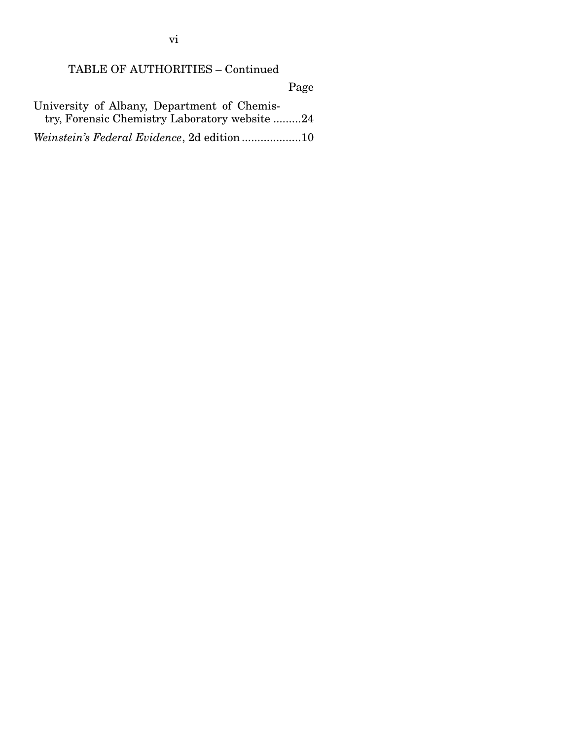TABLE OF AUTHORITIES – Continued

Page

| University of Albany, Department of Chemis-   |
|-----------------------------------------------|
| try, Forensic Chemistry Laboratory website 24 |
| Weinstein's Federal Evidence, 2d edition10    |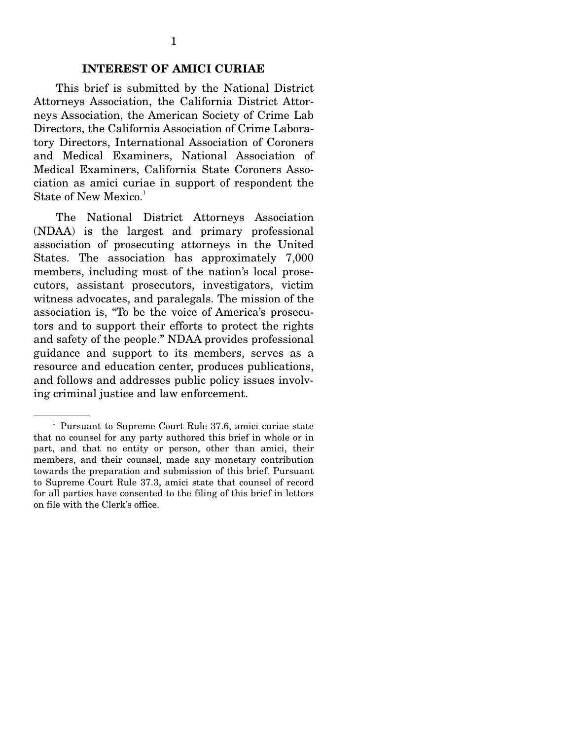#### **INTEREST OF AMICI CURIAE**

This brief is submitted by the National District Attorneys Association, the California District Attorneys Association, the American Society of Crime Lab Directors, the California Association of Crime Laboratory Directors, International Association of Coroners and Medical Examiners, National Association of Medical Examiners, California State Coroners Association as amici curiae in support of respondent the State of New Mexico.<sup>1</sup>

 The National District Attorneys Association (NDAA) is the largest and primary professional association of prosecuting attorneys in the United States. The association has approximately 7,000 members, including most of the nation's local prosecutors, assistant prosecutors, investigators, victim witness advocates, and paralegals. The mission of the association is, "To be the voice of America's prosecutors and to support their efforts to protect the rights and safety of the people." NDAA provides professional guidance and support to its members, serves as a resource and education center, produces publications, and follows and addresses public policy issues involving criminal justice and law enforcement.

<sup>&</sup>lt;sup>1</sup> Pursuant to Supreme Court Rule 37.6, amici curiae state that no counsel for any party authored this brief in whole or in part, and that no entity or person, other than amici, their members, and their counsel, made any monetary contribution towards the preparation and submission of this brief. Pursuant to Supreme Court Rule 37.3, amici state that counsel of record for all parties have consented to the filing of this brief in letters on file with the Clerk's office.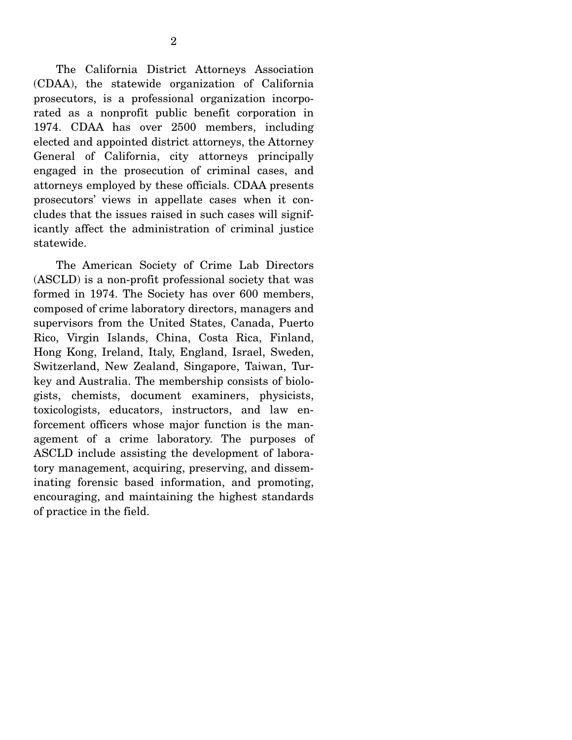The California District Attorneys Association (CDAA), the statewide organization of California prosecutors, is a professional organization incorporated as a nonprofit public benefit corporation in 1974. CDAA has over 2500 members, including elected and appointed district attorneys, the Attorney General of California, city attorneys principally engaged in the prosecution of criminal cases, and attorneys employed by these officials. CDAA presents prosecutors' views in appellate cases when it concludes that the issues raised in such cases will significantly affect the administration of criminal justice statewide.

 The American Society of Crime Lab Directors (ASCLD) is a non-profit professional society that was formed in 1974. The Society has over 600 members, composed of crime laboratory directors, managers and supervisors from the United States, Canada, Puerto Rico, Virgin Islands, China, Costa Rica, Finland, Hong Kong, Ireland, Italy, England, Israel, Sweden, Switzerland, New Zealand, Singapore, Taiwan, Turkey and Australia. The membership consists of biologists, chemists, document examiners, physicists, toxicologists, educators, instructors, and law enforcement officers whose major function is the management of a crime laboratory. The purposes of ASCLD include assisting the development of laboratory management, acquiring, preserving, and disseminating forensic based information, and promoting, encouraging, and maintaining the highest standards of practice in the field.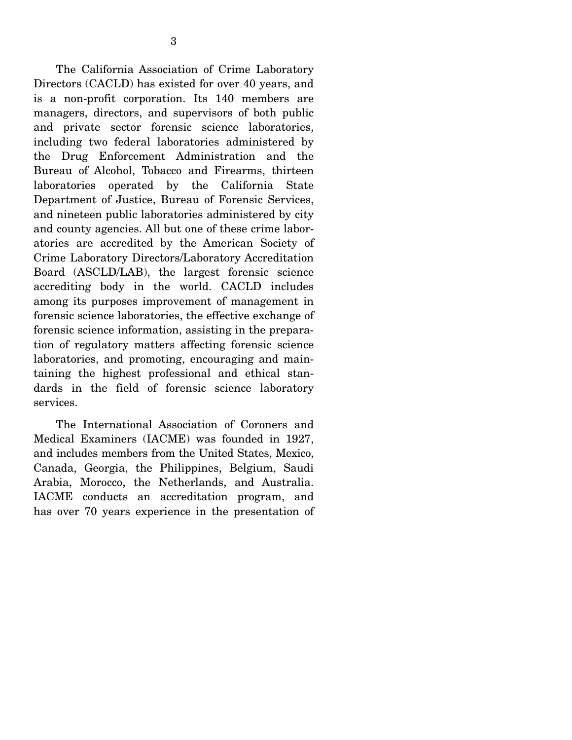The California Association of Crime Laboratory Directors (CACLD) has existed for over 40 years, and is a non-profit corporation. Its 140 members are managers, directors, and supervisors of both public and private sector forensic science laboratories, including two federal laboratories administered by the Drug Enforcement Administration and the Bureau of Alcohol, Tobacco and Firearms, thirteen laboratories operated by the California State Department of Justice, Bureau of Forensic Services, and nineteen public laboratories administered by city and county agencies. All but one of these crime laboratories are accredited by the American Society of Crime Laboratory Directors/Laboratory Accreditation Board (ASCLD/LAB), the largest forensic science accrediting body in the world. CACLD includes among its purposes improvement of management in forensic science laboratories, the effective exchange of forensic science information, assisting in the preparation of regulatory matters affecting forensic science laboratories, and promoting, encouraging and maintaining the highest professional and ethical standards in the field of forensic science laboratory services.

 The International Association of Coroners and Medical Examiners (IACME) was founded in 1927, and includes members from the United States, Mexico, Canada, Georgia, the Philippines, Belgium, Saudi Arabia, Morocco, the Netherlands, and Australia. IACME conducts an accreditation program, and has over 70 years experience in the presentation of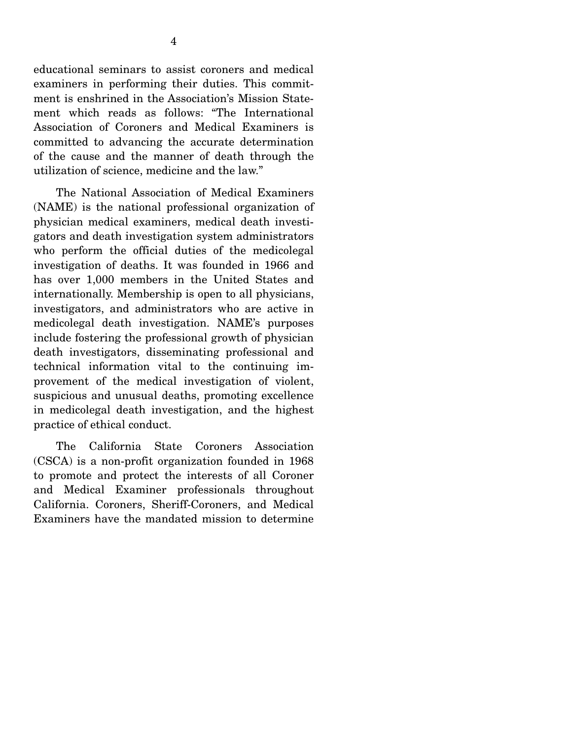educational seminars to assist coroners and medical examiners in performing their duties. This commitment is enshrined in the Association's Mission Statement which reads as follows: "The International Association of Coroners and Medical Examiners is committed to advancing the accurate determination of the cause and the manner of death through the utilization of science, medicine and the law."

 The National Association of Medical Examiners (NAME) is the national professional organization of physician medical examiners, medical death investigators and death investigation system administrators who perform the official duties of the medicolegal investigation of deaths. It was founded in 1966 and has over 1,000 members in the United States and internationally. Membership is open to all physicians, investigators, and administrators who are active in medicolegal death investigation. NAME's purposes include fostering the professional growth of physician death investigators, disseminating professional and technical information vital to the continuing improvement of the medical investigation of violent, suspicious and unusual deaths, promoting excellence in medicolegal death investigation, and the highest practice of ethical conduct.

 The California State Coroners Association (CSCA) is a non-profit organization founded in 1968 to promote and protect the interests of all Coroner and Medical Examiner professionals throughout California. Coroners, Sheriff-Coroners, and Medical Examiners have the mandated mission to determine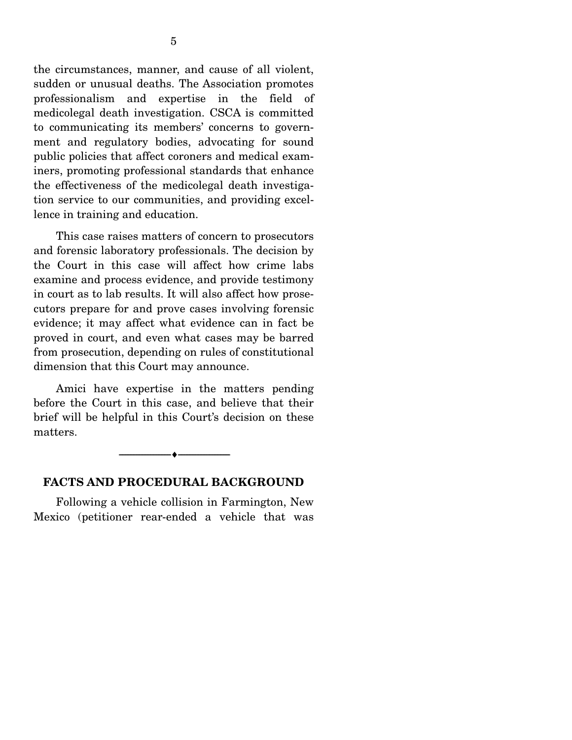the circumstances, manner, and cause of all violent, sudden or unusual deaths. The Association promotes professionalism and expertise in the field of medicolegal death investigation. CSCA is committed to communicating its members' concerns to government and regulatory bodies, advocating for sound public policies that affect coroners and medical examiners, promoting professional standards that enhance the effectiveness of the medicolegal death investigation service to our communities, and providing excellence in training and education.

 This case raises matters of concern to prosecutors and forensic laboratory professionals. The decision by the Court in this case will affect how crime labs examine and process evidence, and provide testimony in court as to lab results. It will also affect how prosecutors prepare for and prove cases involving forensic evidence; it may affect what evidence can in fact be proved in court, and even what cases may be barred from prosecution, depending on rules of constitutional dimension that this Court may announce.

 Amici have expertise in the matters pending before the Court in this case, and believe that their brief will be helpful in this Court's decision on these matters.

#### --------------------------------- ♦ ---------------------------------

#### **FACTS AND PROCEDURAL BACKGROUND**

 Following a vehicle collision in Farmington, New Mexico (petitioner rear-ended a vehicle that was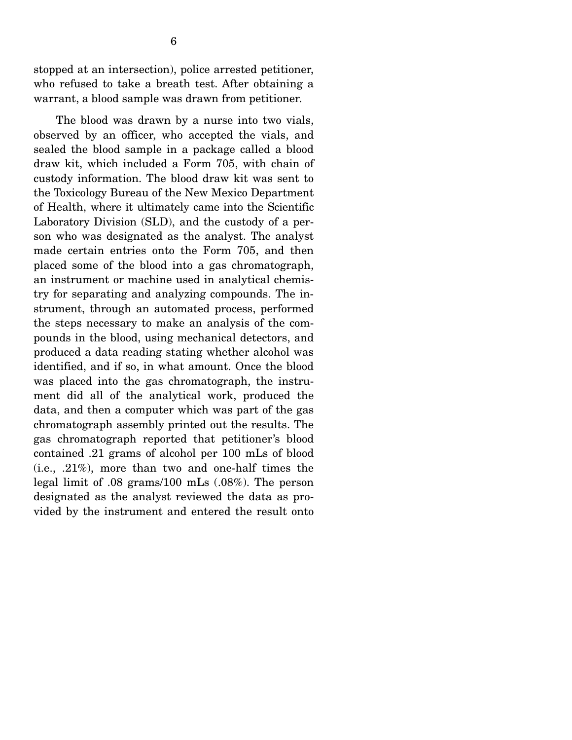stopped at an intersection), police arrested petitioner, who refused to take a breath test. After obtaining a warrant, a blood sample was drawn from petitioner.

 The blood was drawn by a nurse into two vials, observed by an officer, who accepted the vials, and sealed the blood sample in a package called a blood draw kit, which included a Form 705, with chain of custody information. The blood draw kit was sent to the Toxicology Bureau of the New Mexico Department of Health, where it ultimately came into the Scientific Laboratory Division (SLD), and the custody of a person who was designated as the analyst. The analyst made certain entries onto the Form 705, and then placed some of the blood into a gas chromatograph, an instrument or machine used in analytical chemistry for separating and analyzing compounds. The instrument, through an automated process, performed the steps necessary to make an analysis of the compounds in the blood, using mechanical detectors, and produced a data reading stating whether alcohol was identified, and if so, in what amount. Once the blood was placed into the gas chromatograph, the instrument did all of the analytical work, produced the data, and then a computer which was part of the gas chromatograph assembly printed out the results. The gas chromatograph reported that petitioner's blood contained .21 grams of alcohol per 100 mLs of blood (i.e., .21%), more than two and one-half times the legal limit of .08 grams/100 mLs (.08%). The person designated as the analyst reviewed the data as provided by the instrument and entered the result onto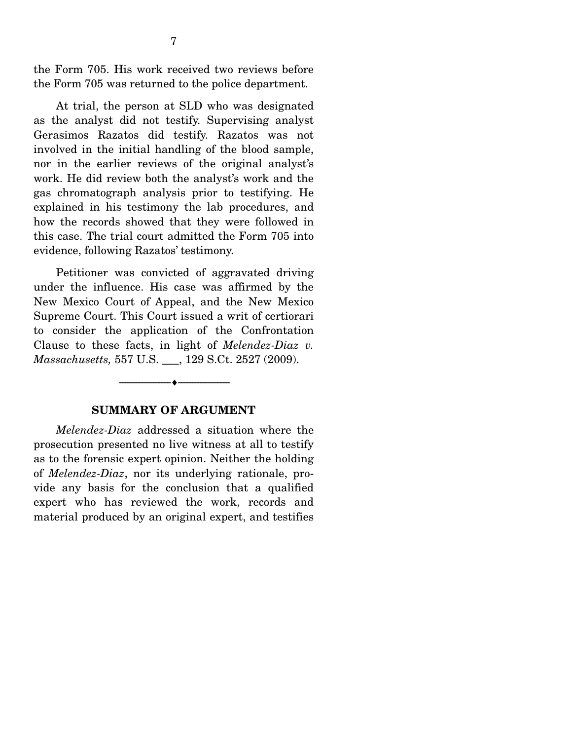the Form 705. His work received two reviews before the Form 705 was returned to the police department.

 At trial, the person at SLD who was designated as the analyst did not testify. Supervising analyst Gerasimos Razatos did testify. Razatos was not involved in the initial handling of the blood sample, nor in the earlier reviews of the original analyst's work. He did review both the analyst's work and the gas chromatograph analysis prior to testifying. He explained in his testimony the lab procedures, and how the records showed that they were followed in this case. The trial court admitted the Form 705 into evidence, following Razatos' testimony.

 Petitioner was convicted of aggravated driving under the influence. His case was affirmed by the New Mexico Court of Appeal, and the New Mexico Supreme Court. This Court issued a writ of certiorari to consider the application of the Confrontation Clause to these facts, in light of *Melendez-Diaz v. Massachusetts,* 557 U.S. \_\_\_, 129 S.Ct. 2527 (2009).



--------------------------------- ♦ ---------------------------------

*Melendez-Diaz* addressed a situation where the prosecution presented no live witness at all to testify as to the forensic expert opinion. Neither the holding of *Melendez-Diaz*, nor its underlying rationale, provide any basis for the conclusion that a qualified expert who has reviewed the work, records and material produced by an original expert, and testifies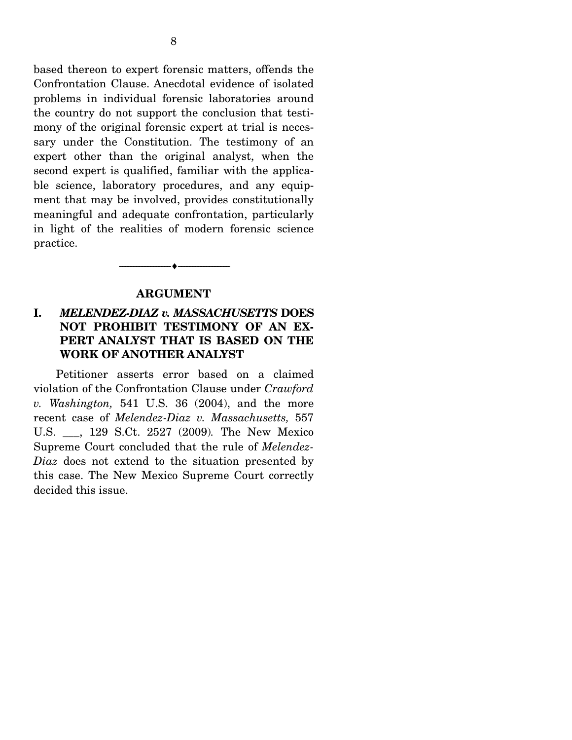based thereon to expert forensic matters, offends the Confrontation Clause. Anecdotal evidence of isolated problems in individual forensic laboratories around the country do not support the conclusion that testimony of the original forensic expert at trial is necessary under the Constitution. The testimony of an expert other than the original analyst, when the second expert is qualified, familiar with the applicable science, laboratory procedures, and any equipment that may be involved, provides constitutionally meaningful and adequate confrontation, particularly in light of the realities of modern forensic science practice.

#### **ARGUMENT**

--------------------------------- ♦ ---------------------------------

### **I.** *MELENDEZ-DIAZ v. MASSACHUSETTS* **DOES NOT PROHIBIT TESTIMONY OF AN EX-PERT ANALYST THAT IS BASED ON THE WORK OF ANOTHER ANALYST**

Petitioner asserts error based on a claimed violation of the Confrontation Clause under *Crawford v. Washington,* 541 U.S. 36 (2004), and the more recent case of *Melendez-Diaz v. Massachusetts,* 557 U.S. \_\_\_, 129 S.Ct. 2527 (2009)*.* The New Mexico Supreme Court concluded that the rule of *Melendez-Diaz* does not extend to the situation presented by this case. The New Mexico Supreme Court correctly decided this issue.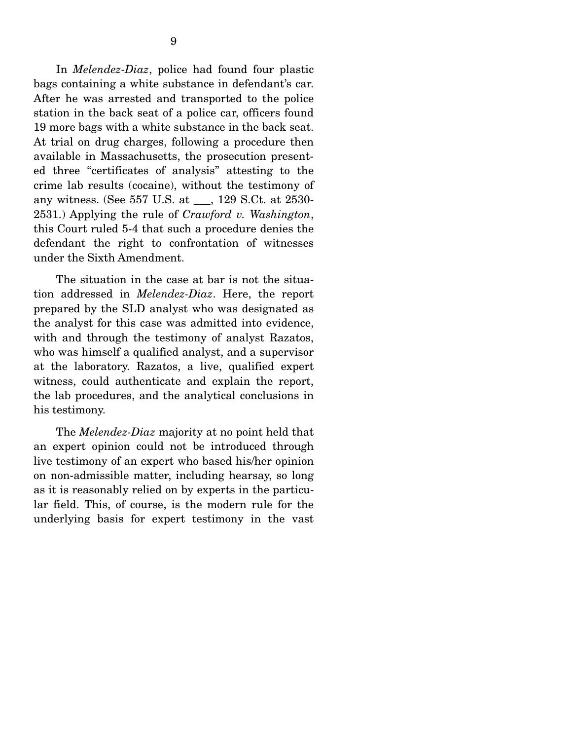In *Melendez-Diaz*, police had found four plastic bags containing a white substance in defendant's car. After he was arrested and transported to the police station in the back seat of a police car, officers found 19 more bags with a white substance in the back seat. At trial on drug charges, following a procedure then available in Massachusetts, the prosecution presented three "certificates of analysis" attesting to the crime lab results (cocaine), without the testimony of any witness. (See 557 U.S. at \_\_\_, 129 S.Ct. at 2530- 2531.) Applying the rule of *Crawford v. Washington*, this Court ruled 5-4 that such a procedure denies the defendant the right to confrontation of witnesses under the Sixth Amendment.

 The situation in the case at bar is not the situation addressed in *Melendez-Diaz*. Here, the report prepared by the SLD analyst who was designated as the analyst for this case was admitted into evidence, with and through the testimony of analyst Razatos, who was himself a qualified analyst, and a supervisor at the laboratory. Razatos, a live, qualified expert witness, could authenticate and explain the report, the lab procedures, and the analytical conclusions in his testimony.

 The *Melendez-Diaz* majority at no point held that an expert opinion could not be introduced through live testimony of an expert who based his/her opinion on non-admissible matter, including hearsay, so long as it is reasonably relied on by experts in the particular field. This, of course, is the modern rule for the underlying basis for expert testimony in the vast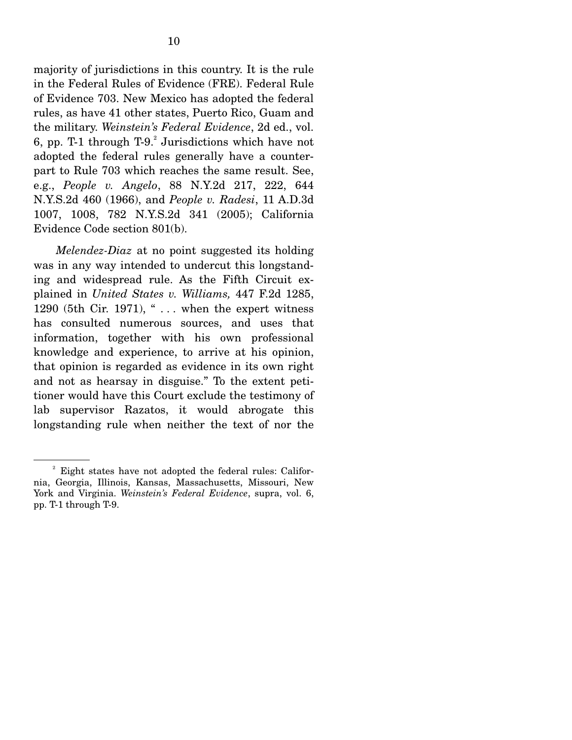majority of jurisdictions in this country. It is the rule in the Federal Rules of Evidence (FRE). Federal Rule of Evidence 703. New Mexico has adopted the federal rules, as have 41 other states, Puerto Rico, Guam and the military. *Weinstein's Federal Evidence*, 2d ed., vol. 6, pp. T-1 through  $T-9$ . Jurisdictions which have not adopted the federal rules generally have a counterpart to Rule 703 which reaches the same result. See, e.g., *People v. Angelo*, 88 N.Y.2d 217, 222, 644 N.Y.S.2d 460 (1966), and *People v. Radesi*, 11 A.D.3d 1007, 1008, 782 N.Y.S.2d 341 (2005); California Evidence Code section 801(b).

*Melendez-Diaz* at no point suggested its holding was in any way intended to undercut this longstanding and widespread rule. As the Fifth Circuit explained in *United States v. Williams,* 447 F.2d 1285, 1290 (5th Cir. 1971), " $\ldots$  when the expert witness has consulted numerous sources, and uses that information, together with his own professional knowledge and experience, to arrive at his opinion, that opinion is regarded as evidence in its own right and not as hearsay in disguise." To the extent petitioner would have this Court exclude the testimony of lab supervisor Razatos, it would abrogate this longstanding rule when neither the text of nor the

<sup>&</sup>lt;sup>2</sup> Eight states have not adopted the federal rules: California, Georgia, Illinois, Kansas, Massachusetts, Missouri, New York and Virginia. *Weinstein's Federal Evidence*, supra, vol. 6, pp. T-1 through T-9.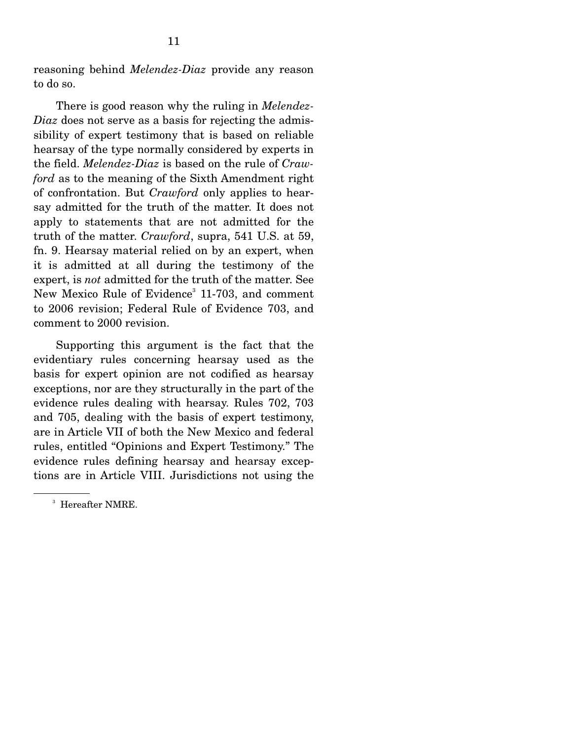reasoning behind *Melendez-Diaz* provide any reason to do so.

 There is good reason why the ruling in *Melendez-Diaz* does not serve as a basis for rejecting the admissibility of expert testimony that is based on reliable hearsay of the type normally considered by experts in the field. *Melendez-Diaz* is based on the rule of *Crawford* as to the meaning of the Sixth Amendment right of confrontation. But *Crawford* only applies to hearsay admitted for the truth of the matter. It does not apply to statements that are not admitted for the truth of the matter. *Crawford*, supra, 541 U.S. at 59, fn. 9. Hearsay material relied on by an expert, when it is admitted at all during the testimony of the expert, is *not* admitted for the truth of the matter. See New Mexico Rule of Evidence<sup>3</sup> 11-703, and comment to 2006 revision; Federal Rule of Evidence 703, and comment to 2000 revision.

 Supporting this argument is the fact that the evidentiary rules concerning hearsay used as the basis for expert opinion are not codified as hearsay exceptions, nor are they structurally in the part of the evidence rules dealing with hearsay. Rules 702, 703 and 705, dealing with the basis of expert testimony, are in Article VII of both the New Mexico and federal rules, entitled "Opinions and Expert Testimony." The evidence rules defining hearsay and hearsay exceptions are in Article VIII. Jurisdictions not using the

<sup>3</sup> Hereafter NMRE.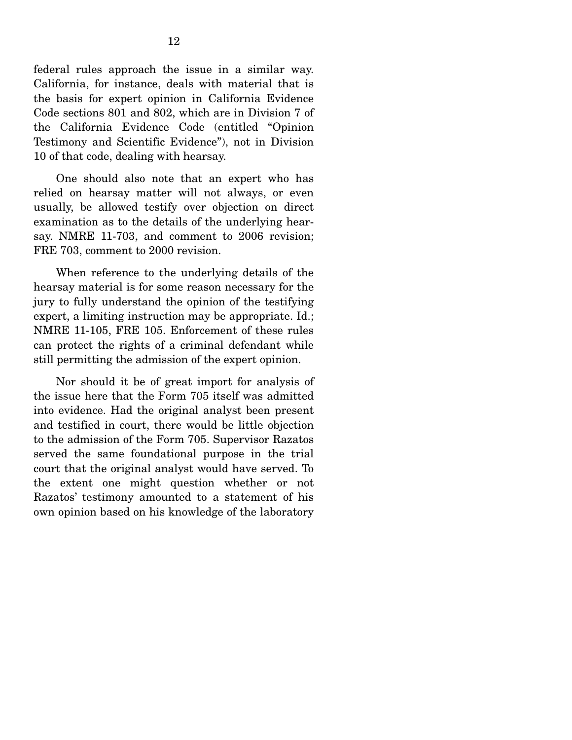federal rules approach the issue in a similar way. California, for instance, deals with material that is the basis for expert opinion in California Evidence Code sections 801 and 802, which are in Division 7 of the California Evidence Code (entitled "Opinion Testimony and Scientific Evidence"), not in Division 10 of that code, dealing with hearsay.

 One should also note that an expert who has relied on hearsay matter will not always, or even usually, be allowed testify over objection on direct examination as to the details of the underlying hearsay. NMRE 11-703, and comment to 2006 revision; FRE 703, comment to 2000 revision.

 When reference to the underlying details of the hearsay material is for some reason necessary for the jury to fully understand the opinion of the testifying expert, a limiting instruction may be appropriate. Id.; NMRE 11-105, FRE 105. Enforcement of these rules can protect the rights of a criminal defendant while still permitting the admission of the expert opinion.

 Nor should it be of great import for analysis of the issue here that the Form 705 itself was admitted into evidence. Had the original analyst been present and testified in court, there would be little objection to the admission of the Form 705. Supervisor Razatos served the same foundational purpose in the trial court that the original analyst would have served. To the extent one might question whether or not Razatos' testimony amounted to a statement of his own opinion based on his knowledge of the laboratory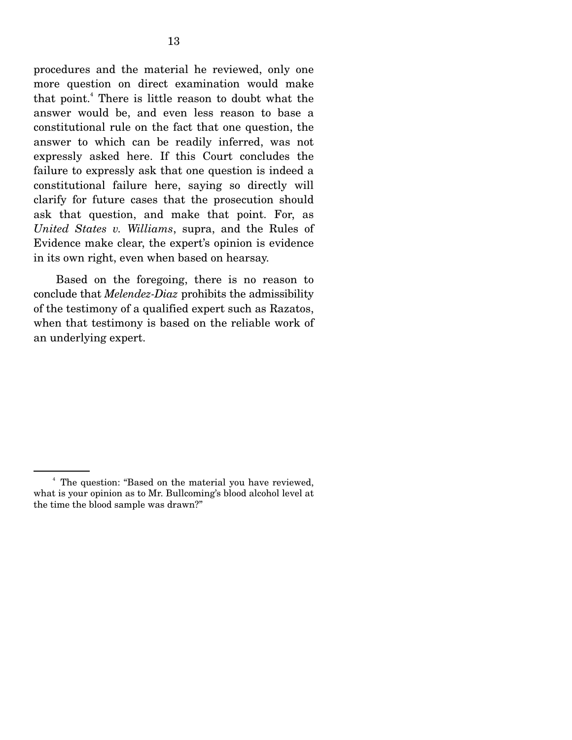procedures and the material he reviewed, only one more question on direct examination would make that point.4 There is little reason to doubt what the answer would be, and even less reason to base a constitutional rule on the fact that one question, the answer to which can be readily inferred, was not expressly asked here. If this Court concludes the failure to expressly ask that one question is indeed a constitutional failure here, saying so directly will clarify for future cases that the prosecution should ask that question, and make that point. For, as *United States v. Williams*, supra, and the Rules of Evidence make clear, the expert's opinion is evidence in its own right, even when based on hearsay.

 Based on the foregoing, there is no reason to conclude that *Melendez-Diaz* prohibits the admissibility of the testimony of a qualified expert such as Razatos, when that testimony is based on the reliable work of an underlying expert.

<sup>4</sup> The question: "Based on the material you have reviewed, what is your opinion as to Mr. Bullcoming's blood alcohol level at the time the blood sample was drawn?"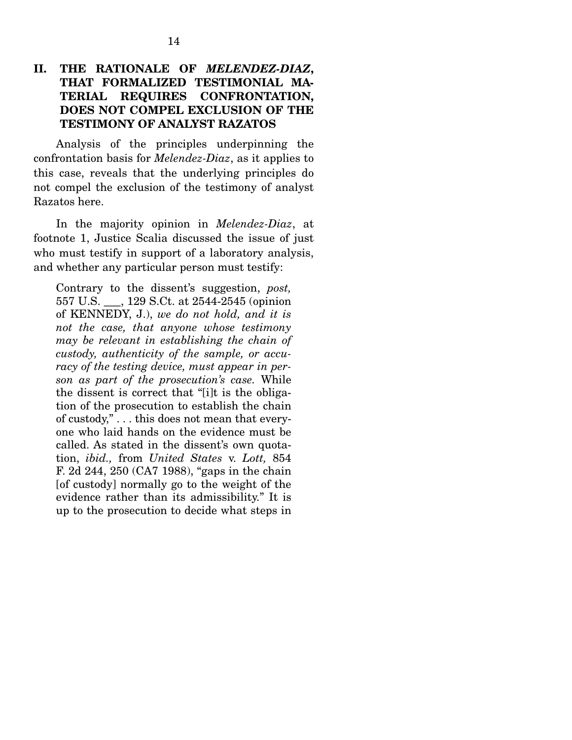#### **II. THE RATIONALE OF** *MELENDEZ-DIAZ***, THAT FORMALIZED TESTIMONIAL MA-TERIAL REQUIRES CONFRONTATION, DOES NOT COMPEL EXCLUSION OF THE TESTIMONY OF ANALYST RAZATOS**

Analysis of the principles underpinning the confrontation basis for *Melendez-Diaz*, as it applies to this case, reveals that the underlying principles do not compel the exclusion of the testimony of analyst Razatos here.

 In the majority opinion in *Melendez-Diaz*, at footnote 1, Justice Scalia discussed the issue of just who must testify in support of a laboratory analysis, and whether any particular person must testify:

Contrary to the dissent's suggestion, *post,*  557 U.S. \_\_\_, 129 S.Ct. at 2544-2545 (opinion of KENNEDY, J.), *we do not hold, and it is not the case, that anyone whose testimony may be relevant in establishing the chain of custody, authenticity of the sample, or accuracy of the testing device, must appear in person as part of the prosecution's case.* While the dissent is correct that "[i]t is the obligation of the prosecution to establish the chain of custody," . . . this does not mean that everyone who laid hands on the evidence must be called. As stated in the dissent's own quotation, *ibid.,* from *United States* v. *Lott,* 854 F. 2d 244, 250 (CA7 1988), "gaps in the chain [of custody] normally go to the weight of the evidence rather than its admissibility." It is up to the prosecution to decide what steps in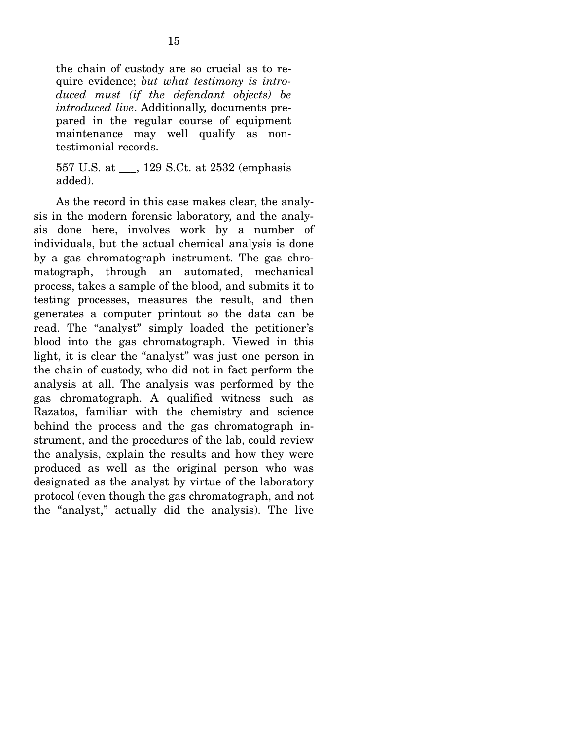the chain of custody are so crucial as to require evidence; *but what testimony is introduced must (if the defendant objects) be introduced live*. Additionally, documents prepared in the regular course of equipment maintenance may well qualify as nontestimonial records.

557 U.S. at \_\_\_, 129 S.Ct. at 2532 (emphasis added).

 As the record in this case makes clear, the analysis in the modern forensic laboratory, and the analysis done here, involves work by a number of individuals, but the actual chemical analysis is done by a gas chromatograph instrument. The gas chromatograph, through an automated, mechanical process, takes a sample of the blood, and submits it to testing processes, measures the result, and then generates a computer printout so the data can be read. The "analyst" simply loaded the petitioner's blood into the gas chromatograph. Viewed in this light, it is clear the "analyst" was just one person in the chain of custody, who did not in fact perform the analysis at all. The analysis was performed by the gas chromatograph. A qualified witness such as Razatos, familiar with the chemistry and science behind the process and the gas chromatograph instrument, and the procedures of the lab, could review the analysis, explain the results and how they were produced as well as the original person who was designated as the analyst by virtue of the laboratory protocol (even though the gas chromatograph, and not the "analyst," actually did the analysis). The live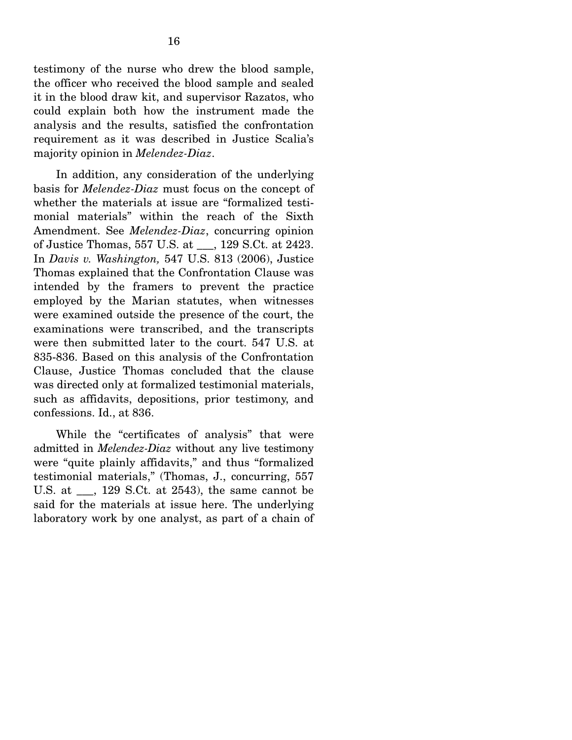testimony of the nurse who drew the blood sample, the officer who received the blood sample and sealed it in the blood draw kit, and supervisor Razatos, who could explain both how the instrument made the analysis and the results, satisfied the confrontation requirement as it was described in Justice Scalia's majority opinion in *Melendez-Diaz*.

 In addition, any consideration of the underlying basis for *Melendez-Diaz* must focus on the concept of whether the materials at issue are "formalized testimonial materials" within the reach of the Sixth Amendment. See *Melendez-Diaz*, concurring opinion of Justice Thomas, 557 U.S. at \_\_\_, 129 S.Ct. at 2423. In *Davis v. Washington,* 547 U.S. 813 (2006), Justice Thomas explained that the Confrontation Clause was intended by the framers to prevent the practice employed by the Marian statutes, when witnesses were examined outside the presence of the court, the examinations were transcribed, and the transcripts were then submitted later to the court. 547 U.S. at 835-836. Based on this analysis of the Confrontation Clause, Justice Thomas concluded that the clause was directed only at formalized testimonial materials, such as affidavits, depositions, prior testimony, and confessions. Id., at 836.

 While the "certificates of analysis" that were admitted in *Melendez-Diaz* without any live testimony were "quite plainly affidavits," and thus "formalized testimonial materials," (Thomas, J., concurring, 557 U.S. at \_\_\_, 129 S.Ct. at 2543), the same cannot be said for the materials at issue here. The underlying laboratory work by one analyst, as part of a chain of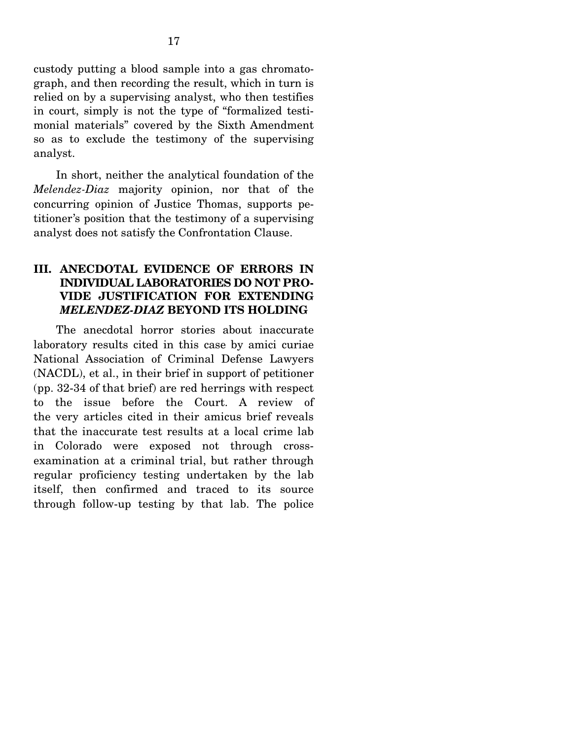custody putting a blood sample into a gas chromatograph, and then recording the result, which in turn is relied on by a supervising analyst, who then testifies in court, simply is not the type of "formalized testimonial materials" covered by the Sixth Amendment so as to exclude the testimony of the supervising analyst.

 In short, neither the analytical foundation of the *Melendez-Diaz* majority opinion, nor that of the concurring opinion of Justice Thomas, supports petitioner's position that the testimony of a supervising analyst does not satisfy the Confrontation Clause.

#### **III. ANECDOTAL EVIDENCE OF ERRORS IN INDIVIDUAL LABORATORIES DO NOT PRO-VIDE JUSTIFICATION FOR EXTENDING** *MELENDEZ-DIAZ* **BEYOND ITS HOLDING**

The anecdotal horror stories about inaccurate laboratory results cited in this case by amici curiae National Association of Criminal Defense Lawyers (NACDL), et al., in their brief in support of petitioner (pp. 32-34 of that brief) are red herrings with respect to the issue before the Court. A review of the very articles cited in their amicus brief reveals that the inaccurate test results at a local crime lab in Colorado were exposed not through crossexamination at a criminal trial, but rather through regular proficiency testing undertaken by the lab itself, then confirmed and traced to its source through follow-up testing by that lab. The police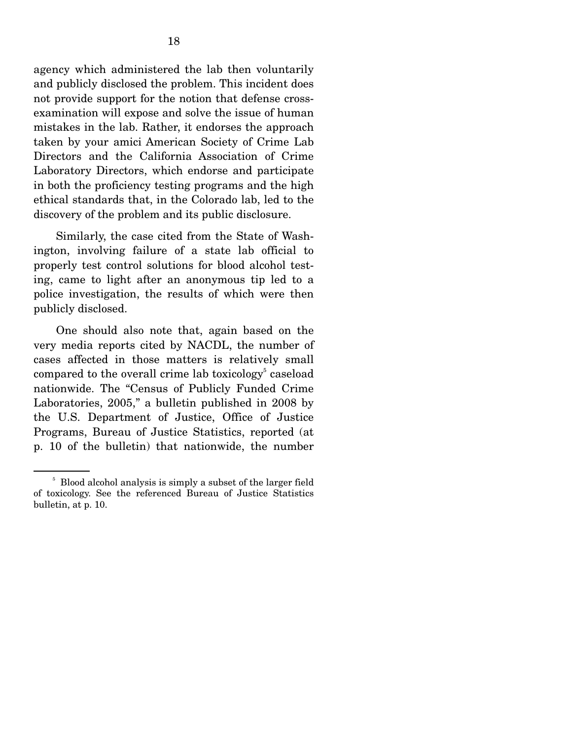agency which administered the lab then voluntarily and publicly disclosed the problem. This incident does not provide support for the notion that defense crossexamination will expose and solve the issue of human mistakes in the lab. Rather, it endorses the approach taken by your amici American Society of Crime Lab Directors and the California Association of Crime Laboratory Directors, which endorse and participate in both the proficiency testing programs and the high ethical standards that, in the Colorado lab, led to the discovery of the problem and its public disclosure.

 Similarly, the case cited from the State of Washington, involving failure of a state lab official to properly test control solutions for blood alcohol testing, came to light after an anonymous tip led to a police investigation, the results of which were then publicly disclosed.

 One should also note that, again based on the very media reports cited by NACDL, the number of cases affected in those matters is relatively small compared to the overall crime lab toxicology<sup>5</sup> caseload nationwide. The "Census of Publicly Funded Crime Laboratories, 2005," a bulletin published in 2008 by the U.S. Department of Justice, Office of Justice Programs, Bureau of Justice Statistics, reported (at p. 10 of the bulletin) that nationwide, the number

<sup>&</sup>lt;sup>5</sup> Blood alcohol analysis is simply a subset of the larger field of toxicology. See the referenced Bureau of Justice Statistics bulletin, at p. 10.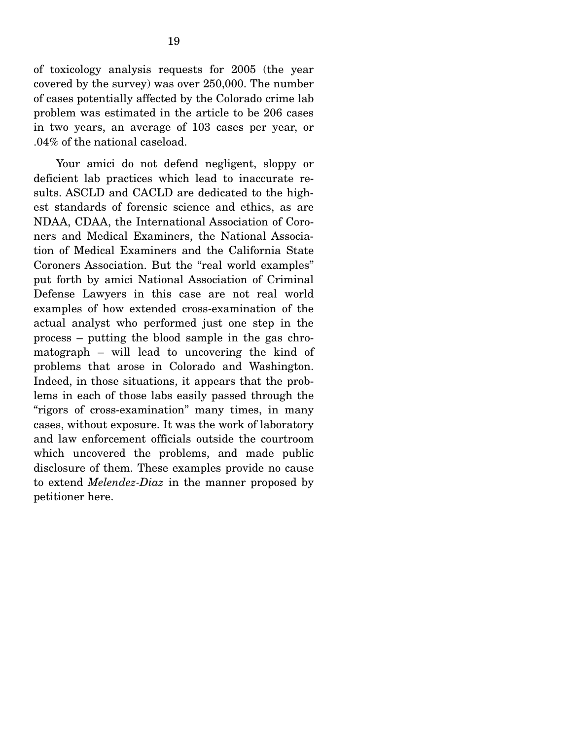of toxicology analysis requests for 2005 (the year covered by the survey) was over 250,000. The number of cases potentially affected by the Colorado crime lab problem was estimated in the article to be 206 cases in two years, an average of 103 cases per year, or .04% of the national caseload.

 Your amici do not defend negligent, sloppy or deficient lab practices which lead to inaccurate results. ASCLD and CACLD are dedicated to the highest standards of forensic science and ethics, as are NDAA, CDAA, the International Association of Coroners and Medical Examiners, the National Association of Medical Examiners and the California State Coroners Association. But the "real world examples" put forth by amici National Association of Criminal Defense Lawyers in this case are not real world examples of how extended cross-examination of the actual analyst who performed just one step in the process – putting the blood sample in the gas chromatograph – will lead to uncovering the kind of problems that arose in Colorado and Washington. Indeed, in those situations, it appears that the problems in each of those labs easily passed through the "rigors of cross-examination" many times, in many cases, without exposure. It was the work of laboratory and law enforcement officials outside the courtroom which uncovered the problems, and made public disclosure of them. These examples provide no cause to extend *Melendez-Diaz* in the manner proposed by petitioner here.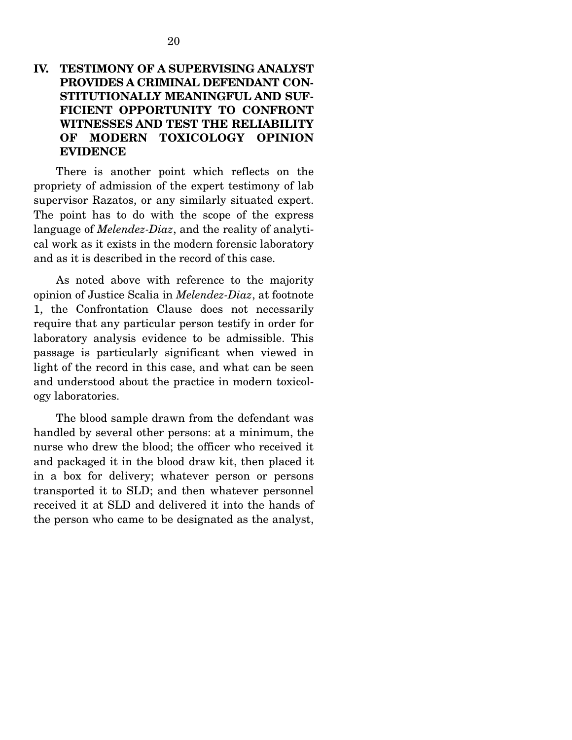### **IV. TESTIMONY OF A SUPERVISING ANALYST PROVIDES A CRIMINAL DEFENDANT CON-STITUTIONALLY MEANINGFUL AND SUF-FICIENT OPPORTUNITY TO CONFRONT WITNESSES AND TEST THE RELIABILITY OF MODERN TOXICOLOGY OPINION EVIDENCE**

There is another point which reflects on the propriety of admission of the expert testimony of lab supervisor Razatos, or any similarly situated expert. The point has to do with the scope of the express language of *Melendez-Diaz*, and the reality of analytical work as it exists in the modern forensic laboratory and as it is described in the record of this case.

 As noted above with reference to the majority opinion of Justice Scalia in *Melendez-Diaz*, at footnote 1, the Confrontation Clause does not necessarily require that any particular person testify in order for laboratory analysis evidence to be admissible. This passage is particularly significant when viewed in light of the record in this case, and what can be seen and understood about the practice in modern toxicology laboratories.

 The blood sample drawn from the defendant was handled by several other persons: at a minimum, the nurse who drew the blood; the officer who received it and packaged it in the blood draw kit, then placed it in a box for delivery; whatever person or persons transported it to SLD; and then whatever personnel received it at SLD and delivered it into the hands of the person who came to be designated as the analyst,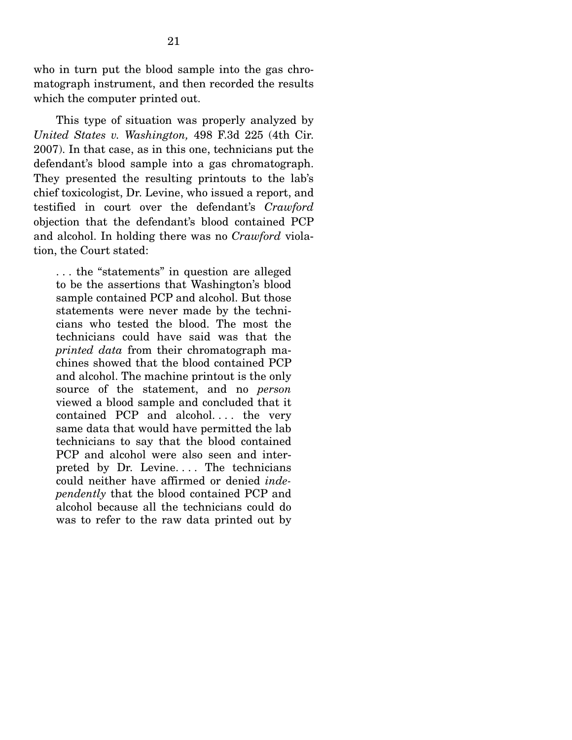who in turn put the blood sample into the gas chromatograph instrument, and then recorded the results which the computer printed out.

 This type of situation was properly analyzed by *United States v. Washington,* 498 F.3d 225 (4th Cir. 2007). In that case, as in this one, technicians put the defendant's blood sample into a gas chromatograph. They presented the resulting printouts to the lab's chief toxicologist, Dr. Levine, who issued a report, and testified in court over the defendant's *Crawford* objection that the defendant's blood contained PCP and alcohol. In holding there was no *Crawford* violation, the Court stated:

. . . the "statements" in question are alleged to be the assertions that Washington's blood sample contained PCP and alcohol. But those statements were never made by the technicians who tested the blood. The most the technicians could have said was that the *printed data* from their chromatograph machines showed that the blood contained PCP and alcohol. The machine printout is the only source of the statement, and no *person* viewed a blood sample and concluded that it contained PCP and alcohol.... the very same data that would have permitted the lab technicians to say that the blood contained PCP and alcohol were also seen and interpreted by Dr. Levine.... The technicians could neither have affirmed or denied *independently* that the blood contained PCP and alcohol because all the technicians could do was to refer to the raw data printed out by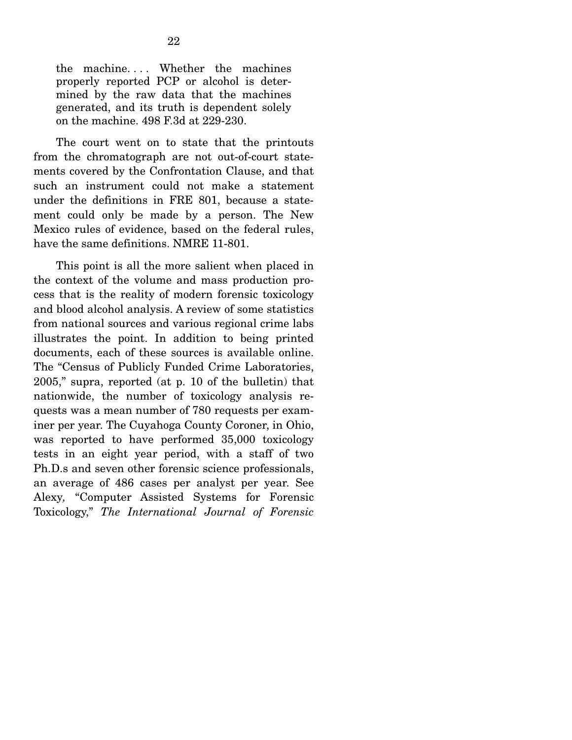the machine.... Whether the machines properly reported PCP or alcohol is determined by the raw data that the machines generated, and its truth is dependent solely on the machine. 498 F.3d at 229-230.

 The court went on to state that the printouts from the chromatograph are not out-of-court statements covered by the Confrontation Clause, and that such an instrument could not make a statement under the definitions in FRE 801, because a statement could only be made by a person. The New Mexico rules of evidence, based on the federal rules, have the same definitions. NMRE 11-801.

 This point is all the more salient when placed in the context of the volume and mass production process that is the reality of modern forensic toxicology and blood alcohol analysis. A review of some statistics from national sources and various regional crime labs illustrates the point. In addition to being printed documents, each of these sources is available online. The "Census of Publicly Funded Crime Laboratories, 2005," supra, reported (at p. 10 of the bulletin) that nationwide, the number of toxicology analysis requests was a mean number of 780 requests per examiner per year. The Cuyahoga County Coroner, in Ohio, was reported to have performed 35,000 toxicology tests in an eight year period, with a staff of two Ph.D.s and seven other forensic science professionals, an average of 486 cases per analyst per year. See Alexy*,* "Computer Assisted Systems for Forensic Toxicology," *The International Journal of Forensic*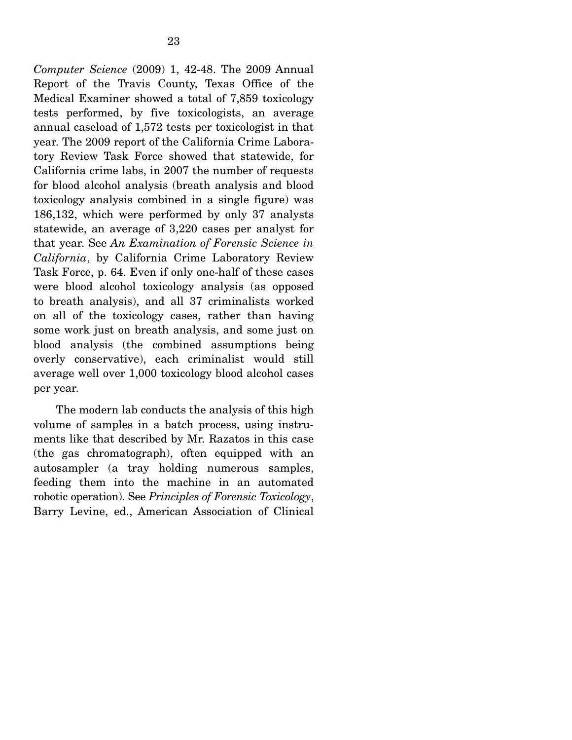*Computer Science* (2009) 1, 42-48. The 2009 Annual Report of the Travis County, Texas Office of the Medical Examiner showed a total of 7,859 toxicology tests performed, by five toxicologists, an average annual caseload of 1,572 tests per toxicologist in that year. The 2009 report of the California Crime Laboratory Review Task Force showed that statewide, for California crime labs, in 2007 the number of requests for blood alcohol analysis (breath analysis and blood toxicology analysis combined in a single figure) was 186,132, which were performed by only 37 analysts statewide, an average of 3,220 cases per analyst for that year. See *An Examination of Forensic Science in California*, by California Crime Laboratory Review Task Force, p. 64. Even if only one-half of these cases were blood alcohol toxicology analysis (as opposed to breath analysis), and all 37 criminalists worked on all of the toxicology cases, rather than having some work just on breath analysis, and some just on blood analysis (the combined assumptions being overly conservative), each criminalist would still average well over 1,000 toxicology blood alcohol cases per year.

 The modern lab conducts the analysis of this high volume of samples in a batch process, using instruments like that described by Mr. Razatos in this case (the gas chromatograph), often equipped with an autosampler (a tray holding numerous samples, feeding them into the machine in an automated robotic operation). See *Principles of Forensic Toxicology*, Barry Levine, ed., American Association of Clinical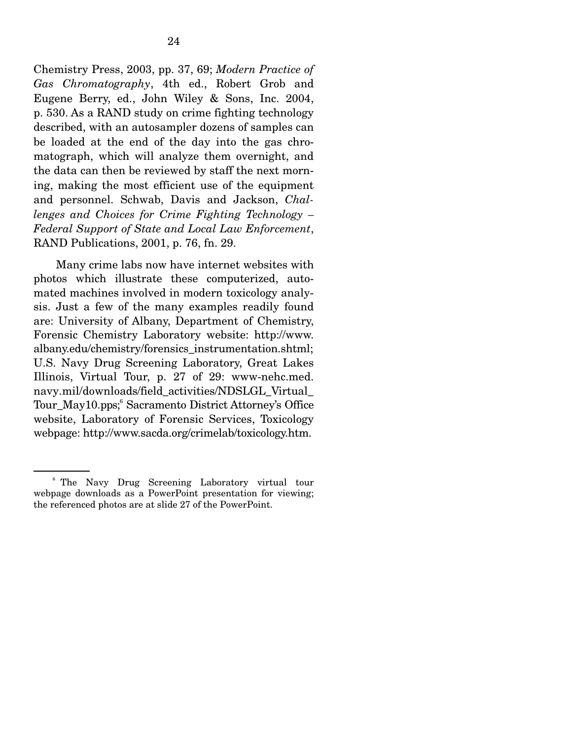Chemistry Press, 2003, pp. 37, 69; *Modern Practice of Gas Chromatography*, 4th ed., Robert Grob and Eugene Berry, ed., John Wiley & Sons, Inc. 2004, p. 530. As a RAND study on crime fighting technology described, with an autosampler dozens of samples can be loaded at the end of the day into the gas chromatograph, which will analyze them overnight, and the data can then be reviewed by staff the next morning, making the most efficient use of the equipment and personnel. Schwab, Davis and Jackson, *Challenges and Choices for Crime Fighting Technology – Federal Support of State and Local Law Enforcement*, RAND Publications, 2001, p. 76, fn. 29.

 Many crime labs now have internet websites with photos which illustrate these computerized, automated machines involved in modern toxicology analysis. Just a few of the many examples readily found are: University of Albany, Department of Chemistry, Forensic Chemistry Laboratory website: http://www. albany.edu/chemistry/forensics\_instrumentation.shtml; U.S. Navy Drug Screening Laboratory, Great Lakes Illinois, Virtual Tour, p. 27 of 29: www-nehc.med. navy.mil/downloads/field\_activities/NDSLGL\_Virtual\_ Tour\_May10.pps; Sacramento District Attorney's Office website, Laboratory of Forensic Services, Toxicology webpage: http://www.sacda.org/crimelab/toxicology.htm.

<sup>6</sup> The Navy Drug Screening Laboratory virtual tour webpage downloads as a PowerPoint presentation for viewing; the referenced photos are at slide 27 of the PowerPoint.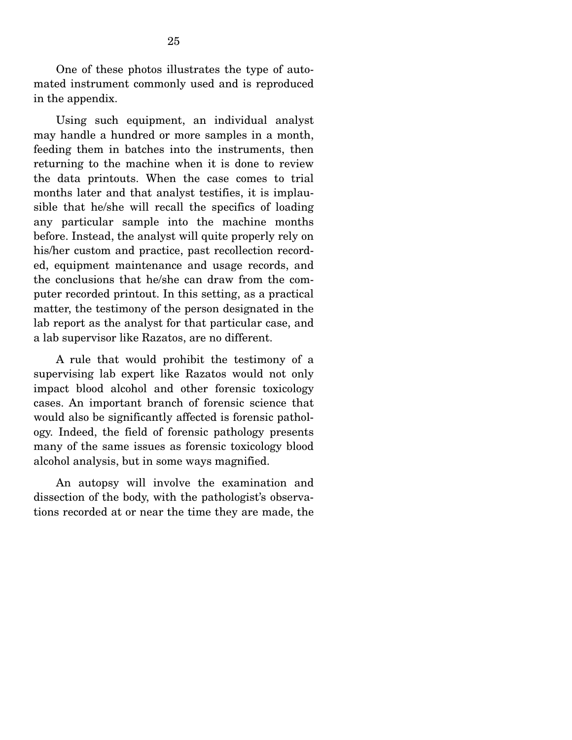One of these photos illustrates the type of automated instrument commonly used and is reproduced in the appendix.

 Using such equipment, an individual analyst may handle a hundred or more samples in a month, feeding them in batches into the instruments, then returning to the machine when it is done to review the data printouts. When the case comes to trial months later and that analyst testifies, it is implausible that he/she will recall the specifics of loading any particular sample into the machine months before. Instead, the analyst will quite properly rely on his/her custom and practice, past recollection recorded, equipment maintenance and usage records, and the conclusions that he/she can draw from the computer recorded printout. In this setting, as a practical matter, the testimony of the person designated in the lab report as the analyst for that particular case, and a lab supervisor like Razatos, are no different.

 A rule that would prohibit the testimony of a supervising lab expert like Razatos would not only impact blood alcohol and other forensic toxicology cases. An important branch of forensic science that would also be significantly affected is forensic pathology. Indeed, the field of forensic pathology presents many of the same issues as forensic toxicology blood alcohol analysis, but in some ways magnified.

 An autopsy will involve the examination and dissection of the body, with the pathologist's observations recorded at or near the time they are made, the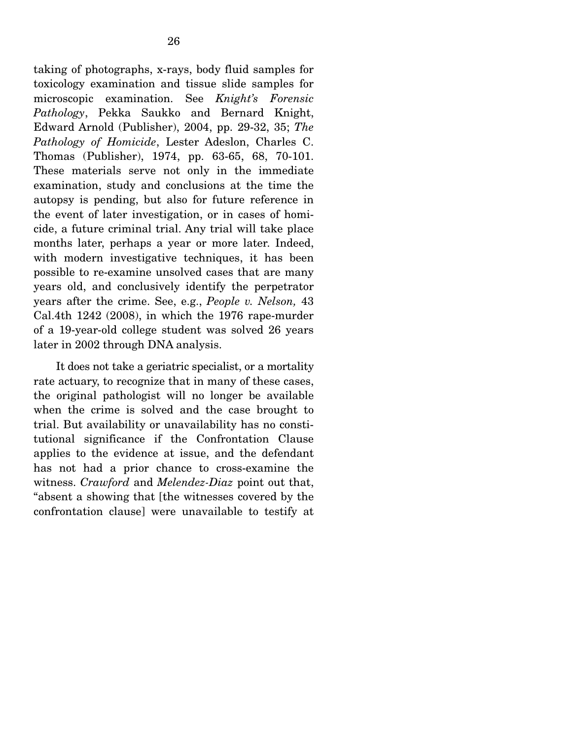taking of photographs, x-rays, body fluid samples for toxicology examination and tissue slide samples for microscopic examination. See *Knight's Forensic Pathology*, Pekka Saukko and Bernard Knight, Edward Arnold (Publisher), 2004, pp. 29-32, 35; *The Pathology of Homicide*, Lester Adeslon, Charles C. Thomas (Publisher), 1974, pp. 63-65, 68, 70-101. These materials serve not only in the immediate examination, study and conclusions at the time the autopsy is pending, but also for future reference in the event of later investigation, or in cases of homicide, a future criminal trial. Any trial will take place months later, perhaps a year or more later. Indeed, with modern investigative techniques, it has been possible to re-examine unsolved cases that are many years old, and conclusively identify the perpetrator years after the crime. See, e.g., *People v. Nelson,* 43 Cal.4th 1242 (2008), in which the 1976 rape-murder of a 19-year-old college student was solved 26 years later in 2002 through DNA analysis.

 It does not take a geriatric specialist, or a mortality rate actuary, to recognize that in many of these cases, the original pathologist will no longer be available when the crime is solved and the case brought to trial. But availability or unavailability has no constitutional significance if the Confrontation Clause applies to the evidence at issue, and the defendant has not had a prior chance to cross-examine the witness. *Crawford* and *Melendez-Diaz* point out that, "absent a showing that [the witnesses covered by the confrontation clause] were unavailable to testify at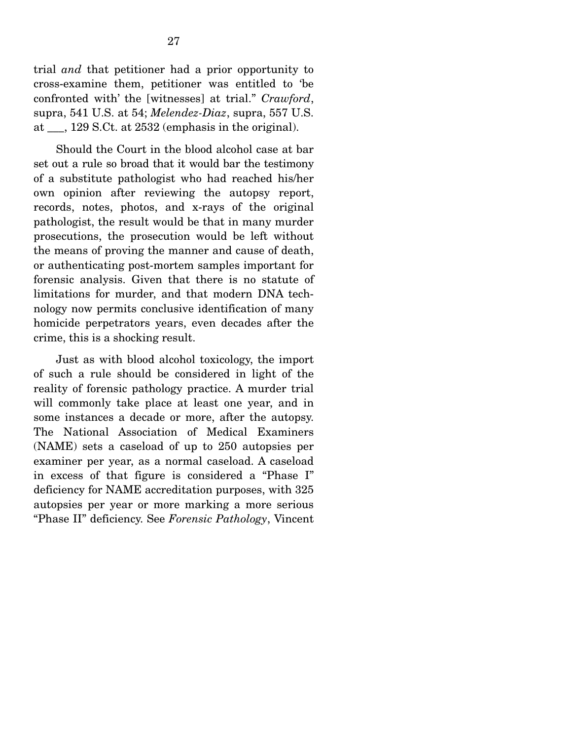trial *and* that petitioner had a prior opportunity to cross-examine them, petitioner was entitled to 'be confronted with' the [witnesses] at trial." *Crawford*, supra, 541 U.S. at 54; *Melendez-Diaz*, supra, 557 U.S. at \_\_\_, 129 S.Ct. at 2532 (emphasis in the original).

 Should the Court in the blood alcohol case at bar set out a rule so broad that it would bar the testimony of a substitute pathologist who had reached his/her own opinion after reviewing the autopsy report, records, notes, photos, and x-rays of the original pathologist, the result would be that in many murder prosecutions, the prosecution would be left without the means of proving the manner and cause of death, or authenticating post-mortem samples important for forensic analysis. Given that there is no statute of limitations for murder, and that modern DNA technology now permits conclusive identification of many homicide perpetrators years, even decades after the crime, this is a shocking result.

 Just as with blood alcohol toxicology, the import of such a rule should be considered in light of the reality of forensic pathology practice. A murder trial will commonly take place at least one year, and in some instances a decade or more, after the autopsy. The National Association of Medical Examiners (NAME) sets a caseload of up to 250 autopsies per examiner per year, as a normal caseload. A caseload in excess of that figure is considered a "Phase I" deficiency for NAME accreditation purposes, with 325 autopsies per year or more marking a more serious "Phase II" deficiency. See *Forensic Pathology*, Vincent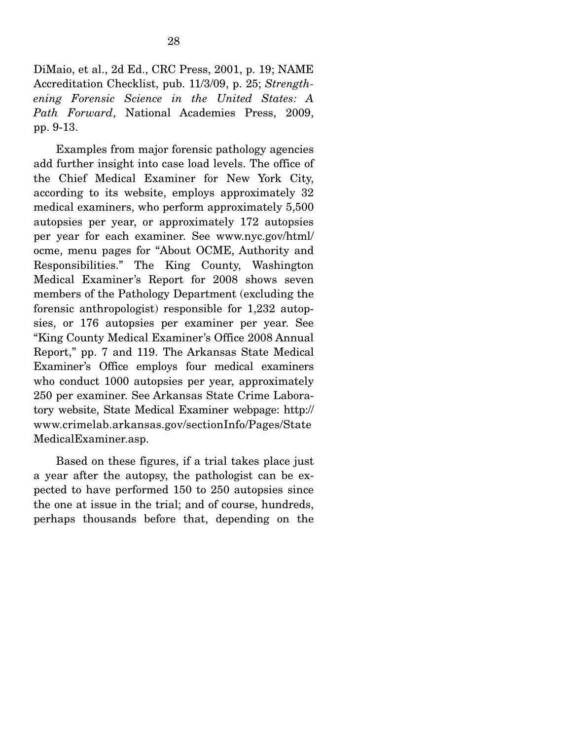DiMaio, et al., 2d Ed., CRC Press, 2001, p. 19; NAME Accreditation Checklist, pub. 11/3/09, p. 25; *Strengthening Forensic Science in the United States: A Path Forward*, National Academies Press, 2009, pp. 9-13.

 Examples from major forensic pathology agencies add further insight into case load levels. The office of the Chief Medical Examiner for New York City, according to its website, employs approximately 32 medical examiners, who perform approximately 5,500 autopsies per year, or approximately 172 autopsies per year for each examiner. See www.nyc.gov/html/ ocme, menu pages for "About OCME, Authority and Responsibilities." The King County, Washington Medical Examiner's Report for 2008 shows seven members of the Pathology Department (excluding the forensic anthropologist) responsible for 1,232 autopsies, or 176 autopsies per examiner per year. See "King County Medical Examiner's Office 2008 Annual Report," pp. 7 and 119. The Arkansas State Medical Examiner's Office employs four medical examiners who conduct 1000 autopsies per year, approximately 250 per examiner. See Arkansas State Crime Laboratory website, State Medical Examiner webpage: http:// www.crimelab.arkansas.gov/sectionInfo/Pages/State MedicalExaminer.asp.

 Based on these figures, if a trial takes place just a year after the autopsy, the pathologist can be expected to have performed 150 to 250 autopsies since the one at issue in the trial; and of course, hundreds, perhaps thousands before that, depending on the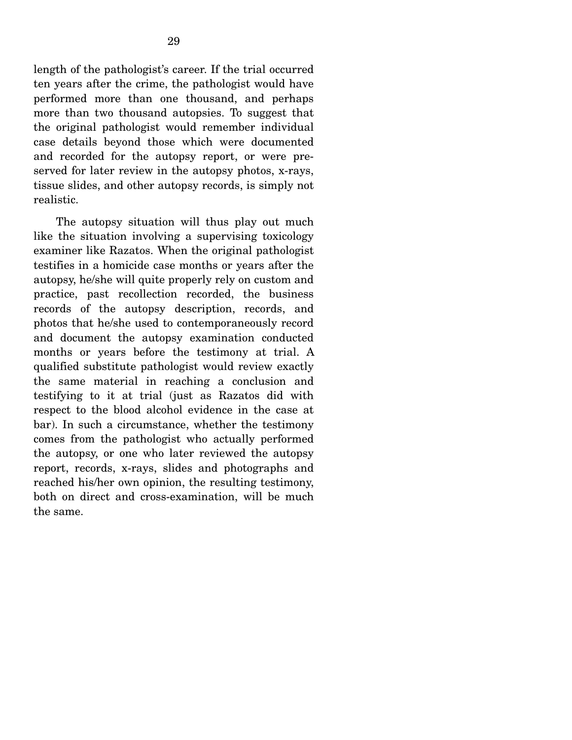length of the pathologist's career. If the trial occurred ten years after the crime, the pathologist would have performed more than one thousand, and perhaps more than two thousand autopsies. To suggest that the original pathologist would remember individual case details beyond those which were documented and recorded for the autopsy report, or were preserved for later review in the autopsy photos, x-rays, tissue slides, and other autopsy records, is simply not realistic.

 The autopsy situation will thus play out much like the situation involving a supervising toxicology examiner like Razatos. When the original pathologist testifies in a homicide case months or years after the autopsy, he/she will quite properly rely on custom and practice, past recollection recorded, the business records of the autopsy description, records, and photos that he/she used to contemporaneously record and document the autopsy examination conducted months or years before the testimony at trial. A qualified substitute pathologist would review exactly the same material in reaching a conclusion and testifying to it at trial (just as Razatos did with respect to the blood alcohol evidence in the case at bar). In such a circumstance, whether the testimony comes from the pathologist who actually performed the autopsy, or one who later reviewed the autopsy report, records, x-rays, slides and photographs and reached his/her own opinion, the resulting testimony, both on direct and cross-examination, will be much the same.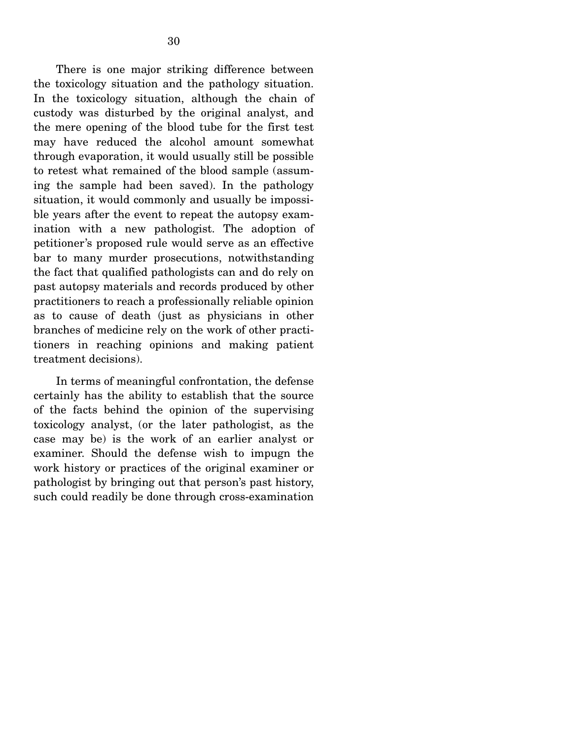There is one major striking difference between the toxicology situation and the pathology situation. In the toxicology situation, although the chain of custody was disturbed by the original analyst, and the mere opening of the blood tube for the first test may have reduced the alcohol amount somewhat through evaporation, it would usually still be possible to retest what remained of the blood sample (assuming the sample had been saved). In the pathology situation, it would commonly and usually be impossible years after the event to repeat the autopsy examination with a new pathologist. The adoption of petitioner's proposed rule would serve as an effective bar to many murder prosecutions, notwithstanding the fact that qualified pathologists can and do rely on past autopsy materials and records produced by other practitioners to reach a professionally reliable opinion as to cause of death (just as physicians in other branches of medicine rely on the work of other practitioners in reaching opinions and making patient treatment decisions).

 In terms of meaningful confrontation, the defense certainly has the ability to establish that the source of the facts behind the opinion of the supervising toxicology analyst, (or the later pathologist, as the case may be) is the work of an earlier analyst or examiner. Should the defense wish to impugn the work history or practices of the original examiner or pathologist by bringing out that person's past history, such could readily be done through cross-examination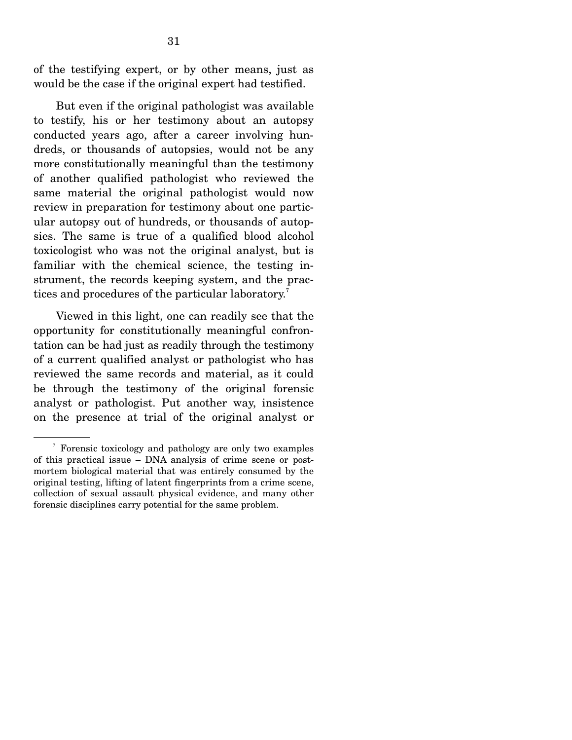of the testifying expert, or by other means, just as would be the case if the original expert had testified.

 But even if the original pathologist was available to testify, his or her testimony about an autopsy conducted years ago, after a career involving hundreds, or thousands of autopsies, would not be any more constitutionally meaningful than the testimony of another qualified pathologist who reviewed the same material the original pathologist would now review in preparation for testimony about one particular autopsy out of hundreds, or thousands of autopsies. The same is true of a qualified blood alcohol toxicologist who was not the original analyst, but is familiar with the chemical science, the testing instrument, the records keeping system, and the practices and procedures of the particular laboratory.<sup>7</sup>

 Viewed in this light, one can readily see that the opportunity for constitutionally meaningful confrontation can be had just as readily through the testimony of a current qualified analyst or pathologist who has reviewed the same records and material, as it could be through the testimony of the original forensic analyst or pathologist. Put another way, insistence on the presence at trial of the original analyst or

<sup>7</sup> Forensic toxicology and pathology are only two examples of this practical issue – DNA analysis of crime scene or postmortem biological material that was entirely consumed by the original testing, lifting of latent fingerprints from a crime scene, collection of sexual assault physical evidence, and many other forensic disciplines carry potential for the same problem.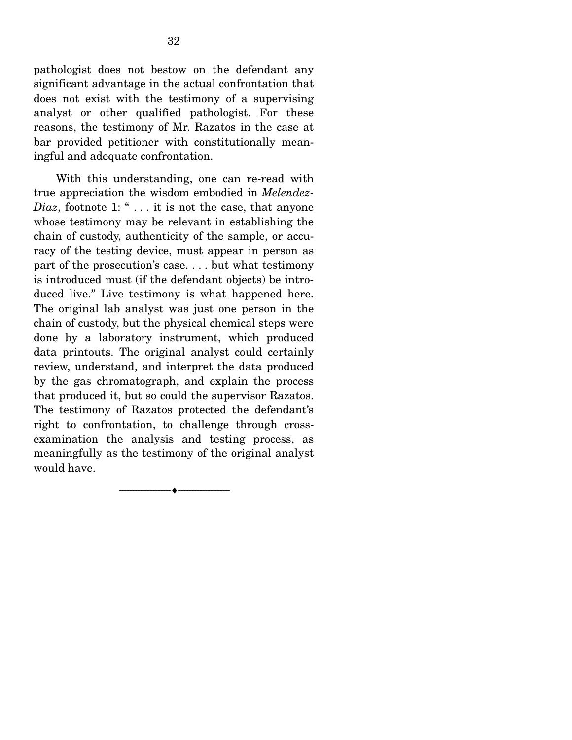pathologist does not bestow on the defendant any significant advantage in the actual confrontation that does not exist with the testimony of a supervising analyst or other qualified pathologist. For these reasons, the testimony of Mr. Razatos in the case at bar provided petitioner with constitutionally meaningful and adequate confrontation.

 With this understanding, one can re-read with true appreciation the wisdom embodied in *Melendez-Diaz*, footnote 1: " . . . it is not the case, that anyone whose testimony may be relevant in establishing the chain of custody, authenticity of the sample, or accuracy of the testing device, must appear in person as part of the prosecution's case. . . . but what testimony is introduced must (if the defendant objects) be introduced live." Live testimony is what happened here. The original lab analyst was just one person in the chain of custody, but the physical chemical steps were done by a laboratory instrument, which produced data printouts. The original analyst could certainly review, understand, and interpret the data produced by the gas chromatograph, and explain the process that produced it, but so could the supervisor Razatos. The testimony of Razatos protected the defendant's right to confrontation, to challenge through crossexamination the analysis and testing process, as meaningfully as the testimony of the original analyst would have.

--------------------------------- ♦ ---------------------------------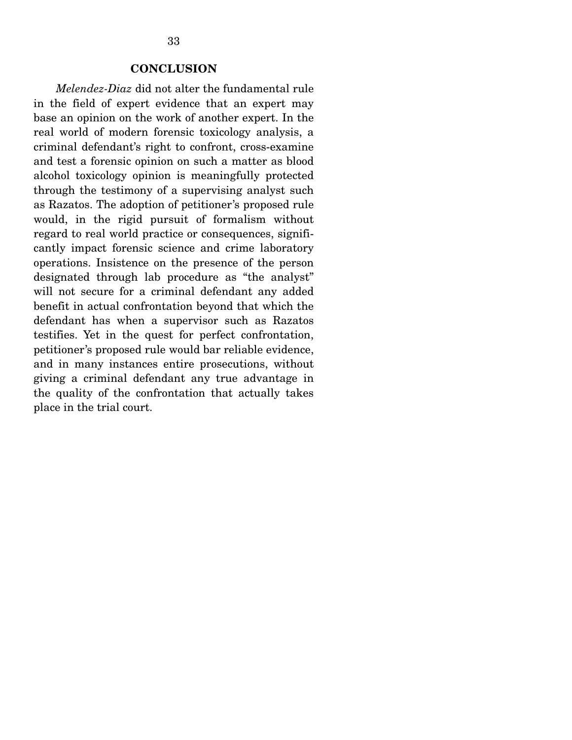#### **CONCLUSION**

*Melendez-Diaz* did not alter the fundamental rule in the field of expert evidence that an expert may base an opinion on the work of another expert. In the real world of modern forensic toxicology analysis, a criminal defendant's right to confront, cross-examine and test a forensic opinion on such a matter as blood alcohol toxicology opinion is meaningfully protected through the testimony of a supervising analyst such as Razatos. The adoption of petitioner's proposed rule would, in the rigid pursuit of formalism without regard to real world practice or consequences, significantly impact forensic science and crime laboratory operations. Insistence on the presence of the person designated through lab procedure as "the analyst" will not secure for a criminal defendant any added benefit in actual confrontation beyond that which the defendant has when a supervisor such as Razatos testifies. Yet in the quest for perfect confrontation, petitioner's proposed rule would bar reliable evidence, and in many instances entire prosecutions, without giving a criminal defendant any true advantage in the quality of the confrontation that actually takes place in the trial court. Î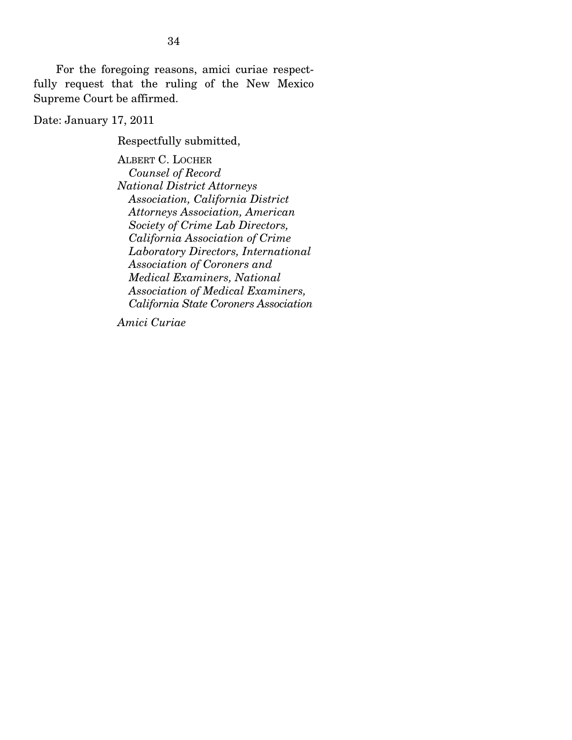For the foregoing reasons, amici curiae respectfully request that the ruling of the New Mexico Supreme Court be affirmed.

Date: January 17, 2011

Respectfully submitted,

ALBERT C. LOCHER  *Counsel of Record National District Attorneys Association, California District Attorneys Association, American Society of Crime Lab Directors, California Association of Crime Laboratory Directors, International Association of Coroners and Medical Examiners, National Association of Medical Examiners, California State Coroners Association* 

*Amici Curiae*